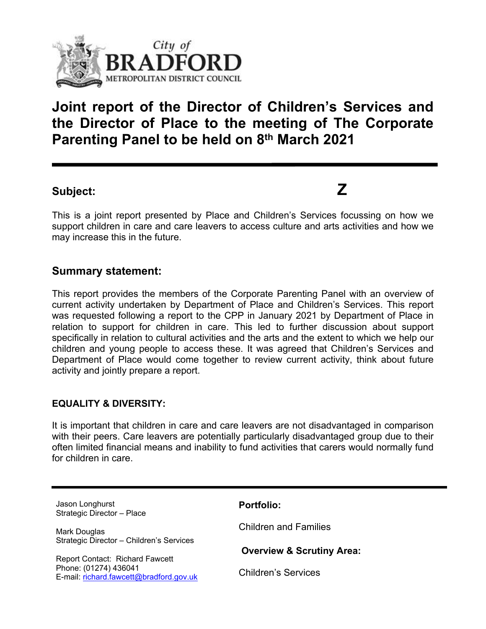

# **Joint report of the Director of Children's Services and the Director of Place to the meeting of The Corporate Parenting Panel to be held on 8 th March 2021**

# **Subject: Z**

This is a joint report presented by Place and Children's Services focussing on how we support children in care and care leavers to access culture and arts activities and how we may increase this in the future.

## **Summary statement:**

This report provides the members of the Corporate Parenting Panel with an overview of current activity undertaken by Department of Place and Children's Services. This report was requested following a report to the CPP in January 2021 by Department of Place in relation to support for children in care. This led to further discussion about support specifically in relation to cultural activities and the arts and the extent to which we help our children and young people to access these. It was agreed that Children's Services and Department of Place would come together to review current activity, think about future activity and jointly prepare a report.

## **EQUALITY & DIVERSITY:**

It is important that children in care and care leavers are not disadvantaged in comparison with their peers. Care leavers are potentially particularly disadvantaged group due to their often limited financial means and inability to fund activities that carers would normally fund for children in care.

| Jason Longhurst<br>Strategic Director - Place                    | <b>Portfolio:</b>                    |
|------------------------------------------------------------------|--------------------------------------|
| Mark Douglas<br>Strategic Director - Children's Services         | <b>Children and Families</b>         |
| <b>Report Contact: Richard Fawcett</b>                           | <b>Overview &amp; Scrutiny Area:</b> |
| Phone: (01274) 436041<br>E-mail: richard.fawcett@bradford.gov.uk | <b>Children's Services</b>           |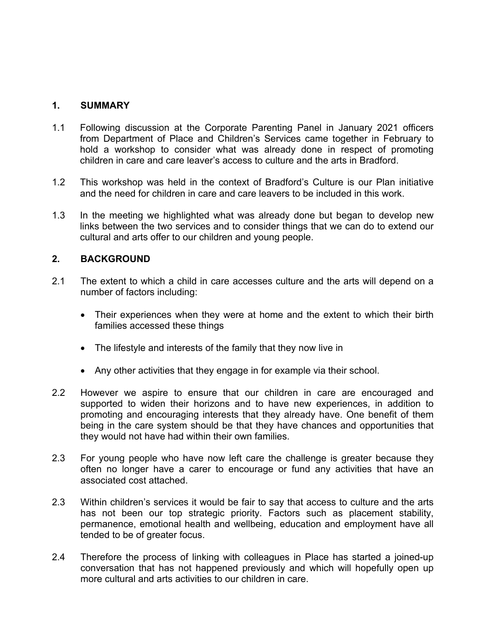#### **1. SUMMARY**

- 1.1 Following discussion at the Corporate Parenting Panel in January 2021 officers from Department of Place and Children's Services came together in February to hold a workshop to consider what was already done in respect of promoting children in care and care leaver's access to culture and the arts in Bradford.
- 1.2 This workshop was held in the context of Bradford's Culture is our Plan initiative and the need for children in care and care leavers to be included in this work.
- 1.3 In the meeting we highlighted what was already done but began to develop new links between the two services and to consider things that we can do to extend our cultural and arts offer to our children and young people.

#### **2. BACKGROUND**

- 2.1 The extent to which a child in care accesses culture and the arts will depend on a number of factors including:
	- Their experiences when they were at home and the extent to which their birth families accessed these things
	- The lifestyle and interests of the family that they now live in
	- Any other activities that they engage in for example via their school.
- 2.2 However we aspire to ensure that our children in care are encouraged and supported to widen their horizons and to have new experiences, in addition to promoting and encouraging interests that they already have. One benefit of them being in the care system should be that they have chances and opportunities that they would not have had within their own families.
- 2.3 For young people who have now left care the challenge is greater because they often no longer have a carer to encourage or fund any activities that have an associated cost attached.
- 2.3 Within children's services it would be fair to say that access to culture and the arts has not been our top strategic priority. Factors such as placement stability, permanence, emotional health and wellbeing, education and employment have all tended to be of greater focus.
- 2.4 Therefore the process of linking with colleagues in Place has started a joined-up conversation that has not happened previously and which will hopefully open up more cultural and arts activities to our children in care.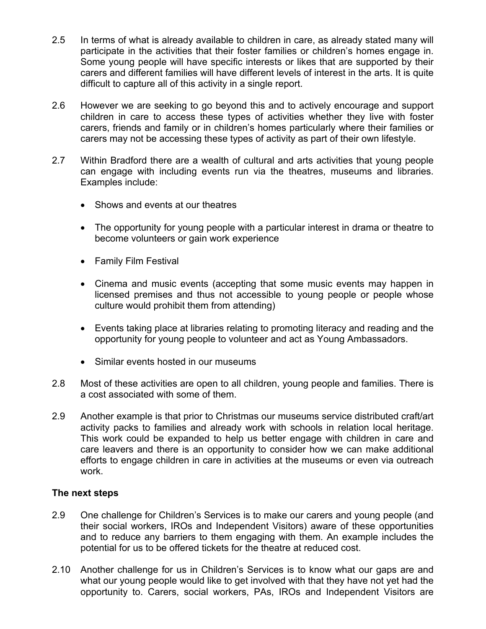- 2.5 In terms of what is already available to children in care, as already stated many will participate in the activities that their foster families or children's homes engage in. Some young people will have specific interests or likes that are supported by their carers and different families will have different levels of interest in the arts. It is quite difficult to capture all of this activity in a single report.
- 2.6 However we are seeking to go beyond this and to actively encourage and support children in care to access these types of activities whether they live with foster carers, friends and family or in children's homes particularly where their families or carers may not be accessing these types of activity as part of their own lifestyle.
- 2.7 Within Bradford there are a wealth of cultural and arts activities that young people can engage with including events run via the theatres, museums and libraries. Examples include:
	- Shows and events at our theatres
	- The opportunity for young people with a particular interest in drama or theatre to become volunteers or gain work experience
	- Family Film Festival
	- Cinema and music events (accepting that some music events may happen in licensed premises and thus not accessible to young people or people whose culture would prohibit them from attending)
	- Events taking place at libraries relating to promoting literacy and reading and the opportunity for young people to volunteer and act as Young Ambassadors.
	- Similar events hosted in our museums
- 2.8 Most of these activities are open to all children, young people and families. There is a cost associated with some of them.
- 2.9 Another example is that prior to Christmas our museums service distributed craft/art activity packs to families and already work with schools in relation local heritage. This work could be expanded to help us better engage with children in care and care leavers and there is an opportunity to consider how we can make additional efforts to engage children in care in activities at the museums or even via outreach work.

#### **The next steps**

- 2.9 One challenge for Children's Services is to make our carers and young people (and their social workers, IROs and Independent Visitors) aware of these opportunities and to reduce any barriers to them engaging with them. An example includes the potential for us to be offered tickets for the theatre at reduced cost.
- 2.10 Another challenge for us in Children's Services is to know what our gaps are and what our young people would like to get involved with that they have not yet had the opportunity to. Carers, social workers, PAs, IROs and Independent Visitors are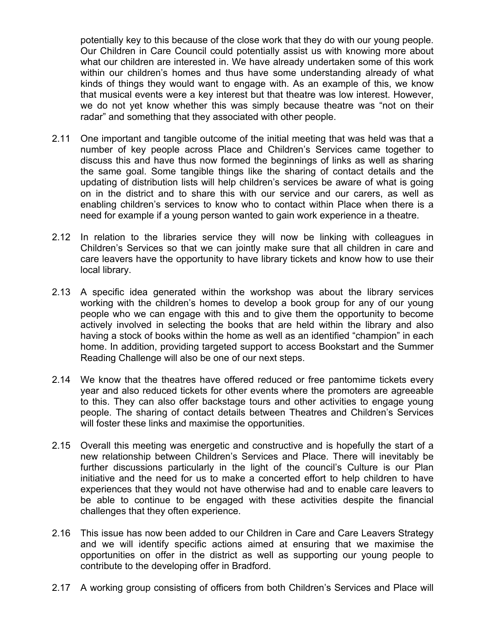potentially key to this because of the close work that they do with our young people. Our Children in Care Council could potentially assist us with knowing more about what our children are interested in. We have already undertaken some of this work within our children's homes and thus have some understanding already of what kinds of things they would want to engage with. As an example of this, we know that musical events were a key interest but that theatre was low interest. However, we do not yet know whether this was simply because theatre was "not on their radar" and something that they associated with other people.

- 2.11 One important and tangible outcome of the initial meeting that was held was that a number of key people across Place and Children's Services came together to discuss this and have thus now formed the beginnings of links as well as sharing the same goal. Some tangible things like the sharing of contact details and the updating of distribution lists will help children's services be aware of what is going on in the district and to share this with our service and our carers, as well as enabling children's services to know who to contact within Place when there is a need for example if a young person wanted to gain work experience in a theatre.
- 2.12 In relation to the libraries service they will now be linking with colleagues in Children's Services so that we can jointly make sure that all children in care and care leavers have the opportunity to have library tickets and know how to use their local library.
- 2.13 A specific idea generated within the workshop was about the library services working with the children's homes to develop a book group for any of our young people who we can engage with this and to give them the opportunity to become actively involved in selecting the books that are held within the library and also having a stock of books within the home as well as an identified "champion" in each home. In addition, providing targeted support to access Bookstart and the Summer Reading Challenge will also be one of our next steps.
- 2.14 We know that the theatres have offered reduced or free pantomime tickets every year and also reduced tickets for other events where the promoters are agreeable to this. They can also offer backstage tours and other activities to engage young people. The sharing of contact details between Theatres and Children's Services will foster these links and maximise the opportunities.
- 2.15 Overall this meeting was energetic and constructive and is hopefully the start of a new relationship between Children's Services and Place. There will inevitably be further discussions particularly in the light of the council's Culture is our Plan initiative and the need for us to make a concerted effort to help children to have experiences that they would not have otherwise had and to enable care leavers to be able to continue to be engaged with these activities despite the financial challenges that they often experience.
- 2.16 This issue has now been added to our Children in Care and Care Leavers Strategy and we will identify specific actions aimed at ensuring that we maximise the opportunities on offer in the district as well as supporting our young people to contribute to the developing offer in Bradford.
- 2.17 A working group consisting of officers from both Children's Services and Place will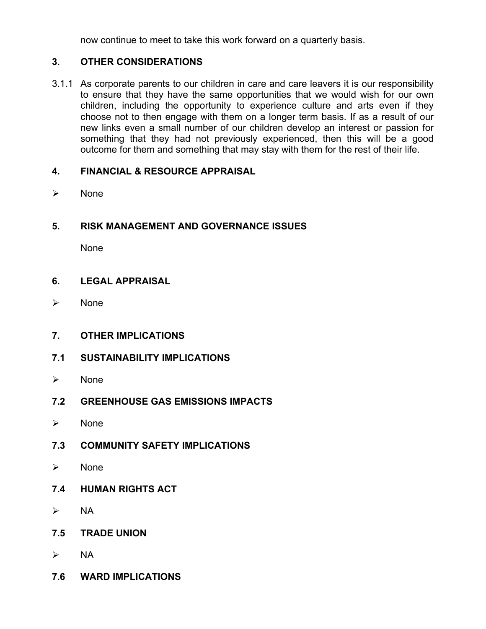now continue to meet to take this work forward on a quarterly basis.

## **3. OTHER CONSIDERATIONS**

3.1.1 As corporate parents to our children in care and care leavers it is our responsibility to ensure that they have the same opportunities that we would wish for our own children, including the opportunity to experience culture and arts even if they choose not to then engage with them on a longer term basis. If as a result of our new links even a small number of our children develop an interest or passion for something that they had not previously experienced, then this will be a good outcome for them and something that may stay with them for the rest of their life.

#### **4. FINANCIAL & RESOURCE APPRAISAL**

 $\triangleright$  None

## **5. RISK MANAGEMENT AND GOVERNANCE ISSUES**

None

#### **6. LEGAL APPRAISAL**

- $\triangleright$  None
- **7. OTHER IMPLICATIONS**
- **7.1 SUSTAINABILITY IMPLICATIONS**
- $\triangleright$  None
- **7.2 GREENHOUSE GAS EMISSIONS IMPACTS**
- $\triangleright$  None
- **7.3 COMMUNITY SAFETY IMPLICATIONS**
- $\triangleright$  None
- **7.4 HUMAN RIGHTS ACT**
- $\triangleright$  NA
- **7.5 TRADE UNION**
- $\triangleright$  NA
- **7.6 WARD IMPLICATIONS**